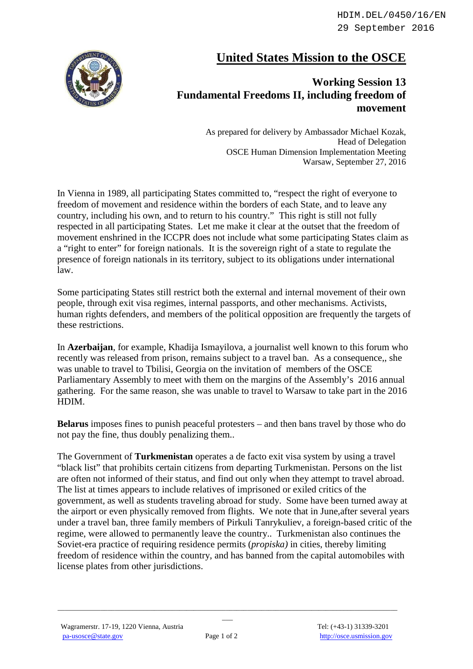HDIM.DEL/0450/16/EN 29 September 2016



## **United States Mission to the OSCE**

## **Working Session 13 Fundamental Freedoms II, including freedom of movement**

As prepared for delivery by Ambassador Michael Kozak, Head of Delegation OSCE Human Dimension Implementation Meeting Warsaw, September 27, 2016

In Vienna in 1989, all participating States committed to, "respect the right of everyone to freedom of movement and residence within the borders of each State, and to leave any country, including his own, and to return to his country." This right is still not fully respected in all participating States. Let me make it clear at the outset that the freedom of movement enshrined in the ICCPR does not include what some participating States claim as a "right to enter" for foreign nationals. It is the sovereign right of a state to regulate the presence of foreign nationals in its territory, subject to its obligations under international law.

Some participating States still restrict both the external and internal movement of their own people, through exit visa regimes, internal passports, and other mechanisms. Activists, human rights defenders, and members of the political opposition are frequently the targets of these restrictions.

In **Azerbaijan**, for example, Khadija Ismayilova, a journalist well known to this forum who recently was released from prison, remains subject to a travel ban. As a consequence,, she was unable to travel to Tbilisi, Georgia on the invitation of members of the OSCE Parliamentary Assembly to meet with them on the margins of the Assembly's 2016 annual gathering. For the same reason, she was unable to travel to Warsaw to take part in the 2016 HDIM.

**Belarus** imposes fines to punish peaceful protesters – and then bans travel by those who do not pay the fine, thus doubly penalizing them..

The Government of **Turkmenistan** operates a de facto exit visa system by using a travel "black list" that prohibits certain citizens from departing Turkmenistan. Persons on the list are often not informed of their status, and find out only when they attempt to travel abroad. The list at times appears to include relatives of imprisoned or exiled critics of the government, as well as students traveling abroad for study. Some have been turned away at the airport or even physically removed from flights. We note that in June,after several years under a travel ban, three family members of Pirkuli Tanrykuliev, a foreign-based critic of the regime, were allowed to permanently leave the country.. Turkmenistan also continues the Soviet-era practice of requiring residence permits (*propiska)* in cities, thereby limiting freedom of residence within the country, and has banned from the capital automobiles with license plates from other jurisdictions.

 $\hspace{0.2cm}$  . The contribution of the contribution of the contribution of the contribution of the contribution of the contribution of the contribution of the contribution of the contribution of the contribution of the con  $\overline{\phantom{a}}$